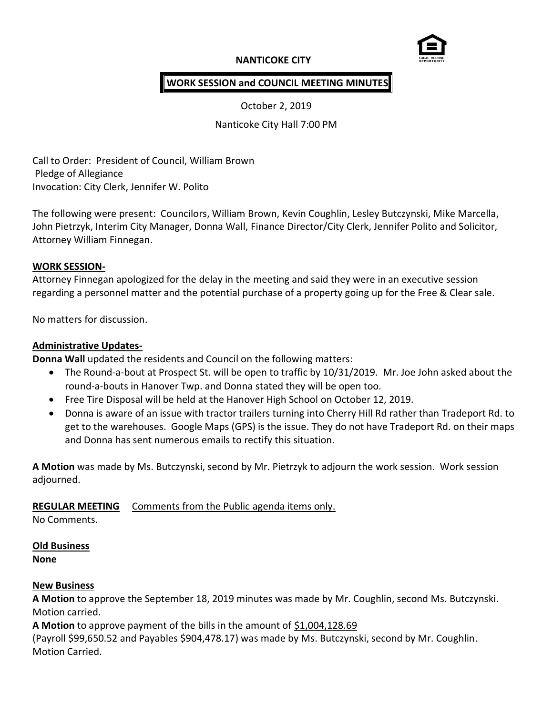# **NANTICOKE CITY**



# **WORK SESSION and COUNCIL MEETING MINUTES**

October 2, 2019

Nanticoke City Hall 7:00 PM

Call to Order: President of Council, William Brown Pledge of Allegiance Invocation: City Clerk, Jennifer W. Polito

The following were present: Councilors, William Brown, Kevin Coughlin, Lesley Butczynski, Mike Marcella, John Pietrzyk, Interim City Manager, Donna Wall, Finance Director/City Clerk, Jennifer Polito and Solicitor, Attorney William Finnegan.

### **WORK SESSION-**

Attorney Finnegan apologized for the delay in the meeting and said they were in an executive session regarding a personnel matter and the potential purchase of a property going up for the Free & Clear sale.

No matters for discussion.

### **Administrative Updates-**

**Donna Wall** updated the residents and Council on the following matters:

- The Round-a-bout at Prospect St. will be open to traffic by 10/31/2019. Mr. Joe John asked about the round-a-bouts in Hanover Twp. and Donna stated they will be open too.
- Free Tire Disposal will be held at the Hanover High School on October 12, 2019.
- Donna is aware of an issue with tractor trailers turning into Cherry Hill Rd rather than Tradeport Rd. to get to the warehouses. Google Maps (GPS) is the issue. They do not have Tradeport Rd. on their maps and Donna has sent numerous emails to rectify this situation.

**A Motion** was made by Ms. Butczynski, second by Mr. Pietrzyk to adjourn the work session. Work session adjourned.

## **REGULAR MEETING** Comments from the Public agenda items only.

No Comments.

#### **Old Business**

**None**

## **New Business**

**A Motion** to approve the September 18, 2019 minutes was made by Mr. Coughlin, second Ms. Butczynski. Motion carried.

A Motion to approve payment of the bills in the amount of \$1,004,128.69

(Payroll \$99,650.52 and Payables \$904,478.17) was made by Ms. Butczynski, second by Mr. Coughlin. Motion Carried.